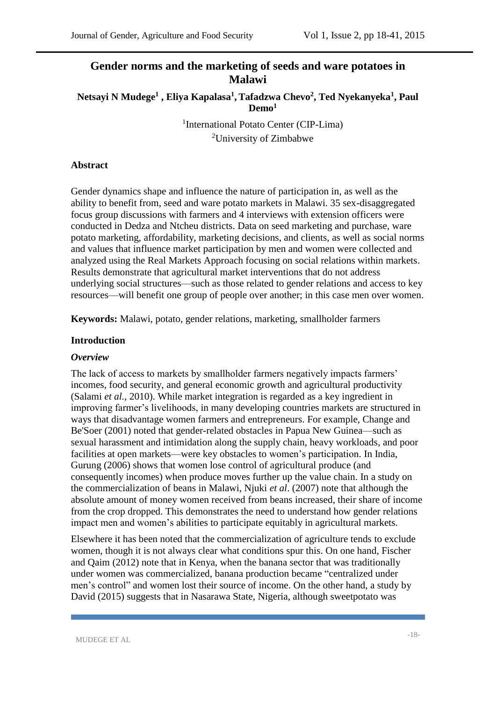# **Gender norms and the marketing of seeds and ware potatoes in Malawi**

**Netsayi N Mudege<sup>1</sup> , Eliya Kapalasa<sup>1</sup> , Tafadzwa Chevo<sup>2</sup> , Ted Nyekanyeka<sup>1</sup> , Paul Demo<sup>1</sup>**

> 1 International Potato Center (CIP-Lima) <sup>2</sup>University of Zimbabwe

### **Abstract**

Gender dynamics shape and influence the nature of participation in, as well as the ability to benefit from, seed and ware potato markets in Malawi. 35 sex-disaggregated focus group discussions with farmers and 4 interviews with extension officers were conducted in Dedza and Ntcheu districts. Data on seed marketing and purchase, ware potato marketing, affordability, marketing decisions, and clients, as well as social norms and values that influence market participation by men and women were collected and analyzed using the Real Markets Approach focusing on social relations within markets. Results demonstrate that agricultural market interventions that do not address underlying social structures—such as those related to gender relations and access to key resources—will benefit one group of people over another; in this case men over women.

**Keywords:** Malawi, potato, gender relations, marketing, smallholder farmers

### **Introduction**

#### *Overview*

The lack of access to markets by smallholder farmers negatively impacts farmers' incomes, food security, and general economic growth and agricultural productivity (Salami *et al.*, 2010). While market integration is regarded as a key ingredient in improving farmer's livelihoods, in many developing countries markets are structured in ways that disadvantage women farmers and entrepreneurs. For example, Change and Be'Soer (2001) noted that gender-related obstacles in Papua New Guinea—such as sexual harassment and intimidation along the supply chain, heavy workloads, and poor facilities at open markets—were key obstacles to women's participation. In India, Gurung (2006) shows that women lose control of agricultural produce (and consequently incomes) when produce moves further up the value chain. In a study on the commercialization of beans in Malawi, Njuki *et al*. (2007) note that although the absolute amount of money women received from beans increased, their share of income from the crop dropped. This demonstrates the need to understand how gender relations impact men and women's abilities to participate equitably in agricultural markets.

Elsewhere it has been noted that the commercialization of agriculture tends to exclude women, though it is not always clear what conditions spur this. On one hand, Fischer and Qaim (2012) note that in Kenya, when the banana sector that was traditionally under women was commercialized, banana production became "centralized under men's control" and women lost their source of income. On the other hand, a study by David (2015) suggests that in Nasarawa State, Nigeria, although sweetpotato was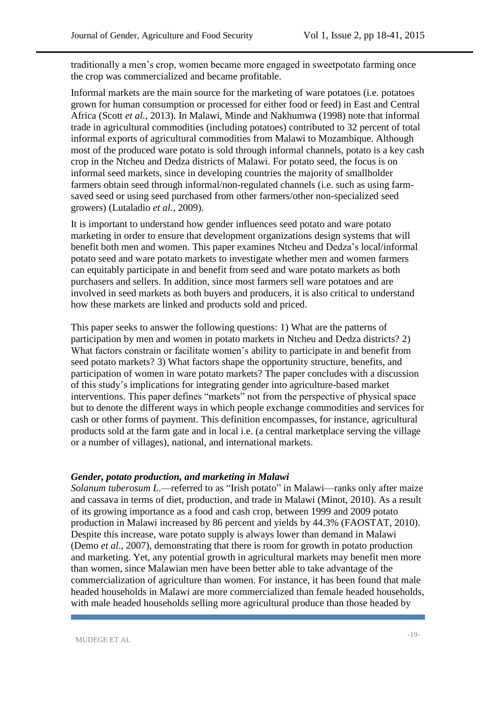traditionally a men's crop, women became more engaged in sweetpotato farming once the crop was commercialized and became profitable.

Informal markets are the main source for the marketing of ware potatoes (i.e. potatoes grown for human consumption or processed for either food or feed) in East and Central Africa (Scott *et al.*, 2013). In Malawi, Minde and Nakhumwa (1998) note that informal trade in agricultural commodities (including potatoes) contributed to 32 percent of total informal exports of agricultural commodities from Malawi to Mozambique. Although most of the produced ware potato is sold through informal channels, potato is a key cash crop in the Ntcheu and Dedza districts of Malawi. For potato seed, the focus is on informal seed markets, since in developing countries the majority of smallholder farmers obtain seed through informal/non-regulated channels (i.e. such as using farmsaved seed or using seed purchased from other farmers/other non-specialized seed growers) (Lutaladio *et al.,* 2009).

It is important to understand how gender influences seed potato and ware potato marketing in order to ensure that development organizations design systems that will benefit both men and women. This paper examines Ntcheu and Dedza's local/informal potato seed and ware potato markets to investigate whether men and women farmers can equitably participate in and benefit from seed and ware potato markets as both purchasers and sellers. In addition, since most farmers sell ware potatoes and are involved in seed markets as both buyers and producers, it is also critical to understand how these markets are linked and products sold and priced.

This paper seeks to answer the following questions: 1) What are the patterns of participation by men and women in potato markets in Ntcheu and Dedza districts? 2) What factors constrain or facilitate women's ability to participate in and benefit from seed potato markets? 3) What factors shape the opportunity structure, benefits, and participation of women in ware potato markets? The paper concludes with a discussion of this study's implications for integrating gender into agriculture-based market interventions. This paper defines "markets" not from the perspective of physical space but to denote the different ways in which people exchange commodities and services for cash or other forms of payment. This definition encompasses, for instance, agricultural products sold at the farm gate and in local i.e. (a central marketplace serving the village or a number of villages), national, and international markets.

#### *Gender, potato production, and marketing in Malawi*

*Solanum tuberosum L*.—referred to as "Irish potato" in Malawi—ranks only after maize and cassava in terms of diet, production, and trade in Malawi (Minot, 2010). As a result of its growing importance as a food and cash crop, between 1999 and 2009 potato production in Malawi increased by 86 percent and yields by 44.3% (FAOSTAT, 2010). Despite this increase, ware potato supply is always lower than demand in Malawi (Demo *et al*., 2007), demonstrating that there is room for growth in potato production and marketing. Yet, any potential growth in agricultural markets may benefit men more than women, since Malawian men have been better able to take advantage of the commercialization of agriculture than women. For instance, it has been found that male headed households in Malawi are more commercialized than female headed households, with male headed households selling more agricultural produce than those headed by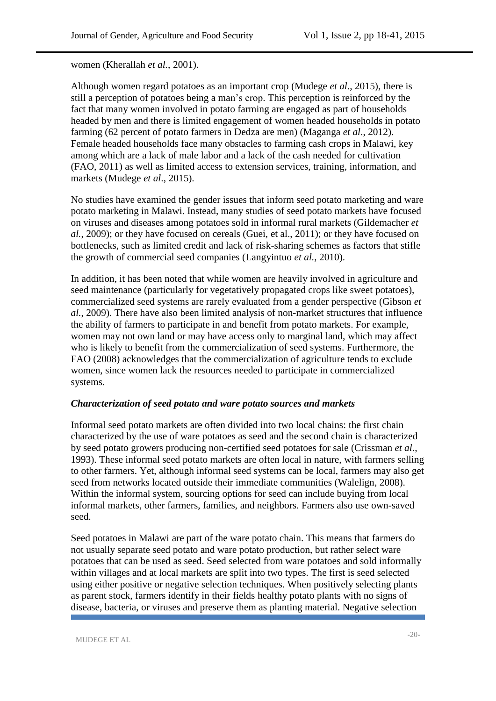women (Kherallah *et al.*, 2001).

Although women regard potatoes as an important crop (Mudege *et al*., 2015), there is still a perception of potatoes being a man's crop. This perception is reinforced by the fact that many women involved in potato farming are engaged as part of households headed by men and there is limited engagement of women headed households in potato farming (62 percent of potato farmers in Dedza are men) (Maganga *et al*., 2012). Female headed households face many obstacles to farming cash crops in Malawi, key among which are a lack of male labor and a lack of the cash needed for cultivation (FAO, 2011) as well as limited access to extension services, training, information, and markets (Mudege *et al*., 2015).

No studies have examined the gender issues that inform seed potato marketing and ware potato marketing in Malawi. Instead, many studies of seed potato markets have focused on viruses and diseases among potatoes sold in informal rural markets (Gildemacher *et al.*, 2009); or they have focused on cereals (Guei, et al., 2011); or they have focused on bottlenecks, such as limited credit and lack of risk-sharing schemes as factors that stifle the growth of commercial seed companies (Langyintuo *et al.*, 2010).

In addition, it has been noted that while women are heavily involved in agriculture and seed maintenance (particularly for vegetatively propagated crops like sweet potatoes), commercialized seed systems are rarely evaluated from a gender perspective (Gibson *et al.*, 2009). There have also been limited analysis of non-market structures that influence the ability of farmers to participate in and benefit from potato markets. For example, women may not own land or may have access only to marginal land, which may affect who is likely to benefit from the commercialization of seed systems. Furthermore, the FAO (2008) acknowledges that the commercialization of agriculture tends to exclude women, since women lack the resources needed to participate in commercialized systems.

#### *Characterization of seed potato and ware potato sources and markets*

Informal seed potato markets are often divided into two local chains: the first chain characterized by the use of ware potatoes as seed and the second chain is characterized by seed potato growers producing non-certified seed potatoes for sale (Crissman *et al*., 1993). These informal seed potato markets are often local in nature, with farmers selling to other farmers. Yet, although informal seed systems can be local, farmers may also get seed from networks located outside their immediate communities (Walelign, 2008). Within the informal system, sourcing options for seed can include buying from local informal markets, other farmers, families, and neighbors. Farmers also use own-saved seed.

Seed potatoes in Malawi are part of the ware potato chain. This means that farmers do not usually separate seed potato and ware potato production, but rather select ware potatoes that can be used as seed. Seed selected from ware potatoes and sold informally within villages and at local markets are split into two types. The first is seed selected using either positive or negative selection techniques. When positively selecting plants as parent stock, farmers identify in their fields healthy potato plants with no signs of disease, bacteria, or viruses and preserve them as planting material. Negative selection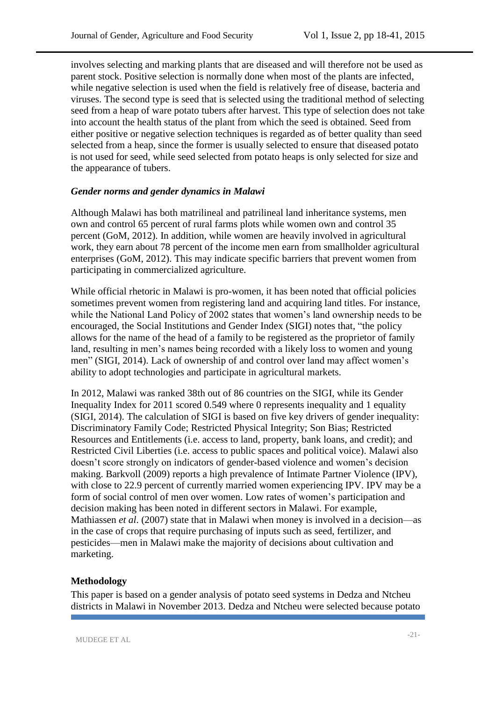involves selecting and marking plants that are diseased and will therefore not be used as parent stock. Positive selection is normally done when most of the plants are infected, while negative selection is used when the field is relatively free of disease, bacteria and viruses. The second type is seed that is selected using the traditional method of selecting seed from a heap of ware potato tubers after harvest. This type of selection does not take into account the health status of the plant from which the seed is obtained. Seed from either positive or negative selection techniques is regarded as of better quality than seed selected from a heap, since the former is usually selected to ensure that diseased potato is not used for seed, while seed selected from potato heaps is only selected for size and the appearance of tubers.

### *Gender norms and gender dynamics in Malawi*

Although Malawi has both matrilineal and patrilineal land inheritance systems, men own and control 65 percent of rural farms plots while women own and control 35 percent (GoM, 2012). In addition, while women are heavily involved in agricultural work, they earn about 78 percent of the income men earn from smallholder agricultural enterprises (GoM, 2012). This may indicate specific barriers that prevent women from participating in commercialized agriculture.

While official rhetoric in Malawi is pro-women, it has been noted that official policies sometimes prevent women from registering land and acquiring land titles. For instance, while the National Land Policy of 2002 states that women's land ownership needs to be encouraged, the Social Institutions and Gender Index (SIGI) notes that, "the policy allows for the name of the head of a family to be registered as the proprietor of family land, resulting in men's names being recorded with a likely loss to women and young men" (SIGI, 2014). Lack of ownership of and control over land may affect women's ability to adopt technologies and participate in agricultural markets.

In 2012, Malawi was ranked 38th out of 86 countries on the SIGI, while its Gender Inequality Index for 2011 scored 0.549 where 0 represents inequality and 1 equality (SIGI, 2014). The calculation of SIGI is based on five key drivers of gender inequality: Discriminatory Family Code; Restricted Physical Integrity; Son Bias; Restricted Resources and Entitlements (i.e. access to land, property, bank loans, and credit); and Restricted Civil Liberties (i.e. access to public spaces and political voice). Malawi also doesn't score strongly on indicators of gender-based violence and women's decision making. Barkvoll (2009) reports a high prevalence of Intimate Partner Violence (IPV), with close to 22.9 percent of currently married women experiencing IPV. IPV may be a form of social control of men over women. Low rates of women's participation and decision making has been noted in different sectors in Malawi. For example, Mathiassen *et al*. (2007) state that in Malawi when money is involved in a decision—as in the case of crops that require purchasing of inputs such as seed, fertilizer, and pesticides—men in Malawi make the majority of decisions about cultivation and marketing.

## **Methodology**

This paper is based on a gender analysis of potato seed systems in Dedza and Ntcheu districts in Malawi in November 2013. Dedza and Ntcheu were selected because potato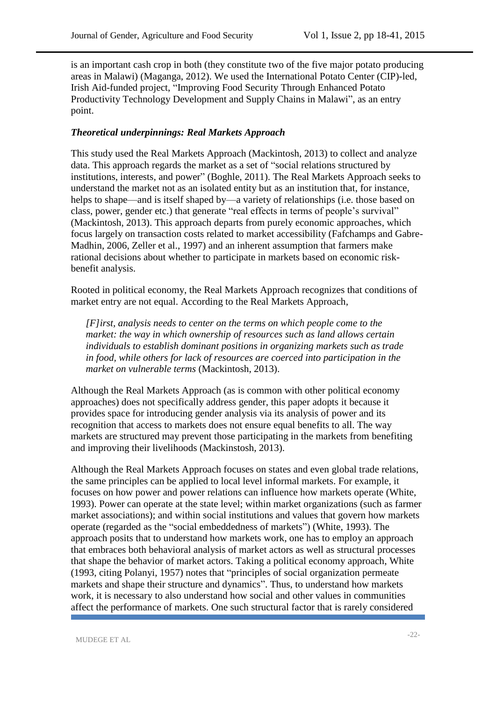is an important cash crop in both (they constitute two of the five major potato producing areas in Malawi) (Maganga, 2012). We used the International Potato Center (CIP)-led, Irish Aid-funded project, "Improving Food Security Through Enhanced Potato Productivity Technology Development and Supply Chains in Malawi", as an entry point.

### *Theoretical underpinnings: Real Markets Approach*

This study used the Real Markets Approach (Mackintosh, 2013) to collect and analyze data. This approach regards the market as a set of "social relations structured by institutions, interests, and power" (Boghle, 2011). The Real Markets Approach seeks to understand the market not as an isolated entity but as an institution that, for instance, helps to shape—and is itself shaped by—a variety of relationships (i.e. those based on class, power, gender etc.) that generate "real effects in terms of people's survival" (Mackintosh, 2013). This approach departs from purely economic approaches, which focus largely on transaction costs related to market accessibility (Fafchamps and Gabre-Madhin, 2006, Zeller et al., 1997) and an inherent assumption that farmers make rational decisions about whether to participate in markets based on economic riskbenefit analysis.

Rooted in political economy, the Real Markets Approach recognizes that conditions of market entry are not equal. According to the Real Markets Approach,

*[F]irst, analysis needs to center on the terms on which people come to the market: the way in which ownership of resources such as land allows certain individuals to establish dominant positions in organizing markets such as trade in food, while others for lack of resources are coerced into participation in the market on vulnerable terms* (Mackintosh, 2013).

Although the Real Markets Approach (as is common with other political economy approaches) does not specifically address gender, this paper adopts it because it provides space for introducing gender analysis via its analysis of power and its recognition that access to markets does not ensure equal benefits to all. The way markets are structured may prevent those participating in the markets from benefiting and improving their livelihoods (Mackinstosh, 2013).

Although the Real Markets Approach focuses on states and even global trade relations, the same principles can be applied to local level informal markets. For example, it focuses on how power and power relations can influence how markets operate (White, 1993). Power can operate at the state level; within market organizations (such as farmer market associations); and within social institutions and values that govern how markets operate (regarded as the "social embeddedness of markets") (White, 1993). The approach posits that to understand how markets work, one has to employ an approach that embraces both behavioral analysis of market actors as well as structural processes that shape the behavior of market actors. Taking a political economy approach, White (1993, citing Polanyi, 1957) notes that "principles of social organization permeate markets and shape their structure and dynamics". Thus, to understand how markets work, it is necessary to also understand how social and other values in communities affect the performance of markets. One such structural factor that is rarely considered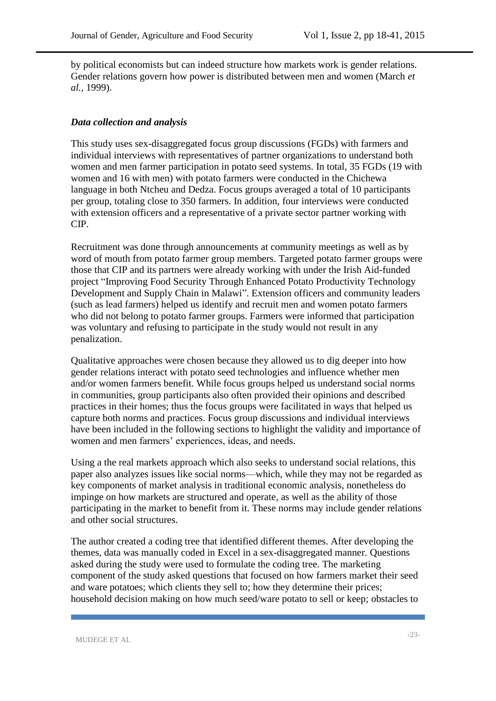by political economists but can indeed structure how markets work is gender relations. Gender relations govern how power is distributed between men and women (March *et al.,* 1999).

### *Data collection and analysis*

This study uses sex-disaggregated focus group discussions (FGDs) with farmers and individual interviews with representatives of partner organizations to understand both women and men farmer participation in potato seed systems. In total, 35 FGDs (19 with women and 16 with men) with potato farmers were conducted in the Chichewa language in both Ntcheu and Dedza. Focus groups averaged a total of 10 participants per group, totaling close to 350 farmers. In addition, four interviews were conducted with extension officers and a representative of a private sector partner working with CIP.

Recruitment was done through announcements at community meetings as well as by word of mouth from potato farmer group members. Targeted potato farmer groups were those that CIP and its partners were already working with under the Irish Aid-funded project "Improving Food Security Through Enhanced Potato Productivity Technology Development and Supply Chain in Malawi". Extension officers and community leaders (such as lead farmers) helped us identify and recruit men and women potato farmers who did not belong to potato farmer groups. Farmers were informed that participation was voluntary and refusing to participate in the study would not result in any penalization.

Qualitative approaches were chosen because they allowed us to dig deeper into how gender relations interact with potato seed technologies and influence whether men and/or women farmers benefit. While focus groups helped us understand social norms in communities, group participants also often provided their opinions and described practices in their homes; thus the focus groups were facilitated in ways that helped us capture both norms and practices. Focus group discussions and individual interviews have been included in the following sections to highlight the validity and importance of women and men farmers' experiences, ideas, and needs.

Using a the real markets approach which also seeks to understand social relations, this paper also analyzes issues like social norms—which, while they may not be regarded as key components of market analysis in traditional economic analysis, nonetheless do impinge on how markets are structured and operate, as well as the ability of those participating in the market to benefit from it. These norms may include gender relations and other social structures.

The author created a coding tree that identified different themes. After developing the themes, data was manually coded in Excel in a sex-disaggregated manner. Questions asked during the study were used to formulate the coding tree. The marketing component of the study asked questions that focused on how farmers market their seed and ware potatoes; which clients they sell to; how they determine their prices; household decision making on how much seed/ware potato to sell or keep; obstacles to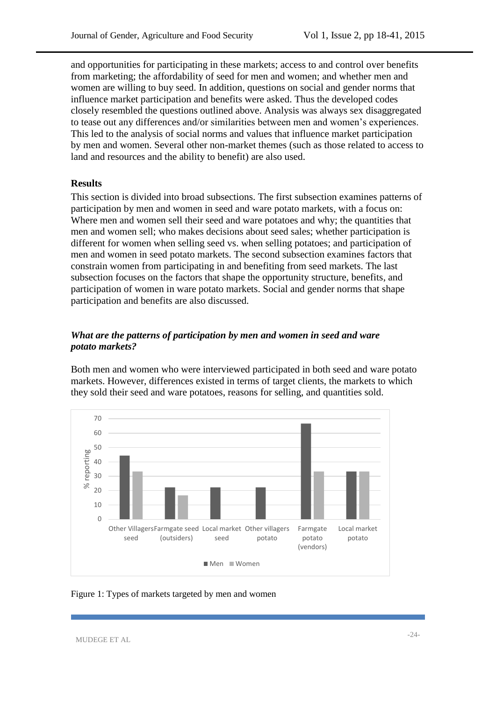and opportunities for participating in these markets; access to and control over benefits from marketing; the affordability of seed for men and women; and whether men and women are willing to buy seed. In addition, questions on social and gender norms that influence market participation and benefits were asked. Thus the developed codes closely resembled the questions outlined above. Analysis was always sex disaggregated to tease out any differences and/or similarities between men and women's experiences. This led to the analysis of social norms and values that influence market participation by men and women. Several other non-market themes (such as those related to access to land and resources and the ability to benefit) are also used.

### **Results**

This section is divided into broad subsections. The first subsection examines patterns of participation by men and women in seed and ware potato markets, with a focus on: Where men and women sell their seed and ware potatoes and why; the quantities that men and women sell; who makes decisions about seed sales; whether participation is different for women when selling seed vs. when selling potatoes; and participation of men and women in seed potato markets. The second subsection examines factors that constrain women from participating in and benefiting from seed markets. The last subsection focuses on the factors that shape the opportunity structure, benefits, and participation of women in ware potato markets. Social and gender norms that shape participation and benefits are also discussed.

## *What are the patterns of participation by men and women in seed and ware potato markets?*

Both men and women who were interviewed participated in both seed and ware potato markets. However, differences existed in terms of target clients, the markets to which they sold their seed and ware potatoes, reasons for selling, and quantities sold.



Figure 1: Types of markets targeted by men and women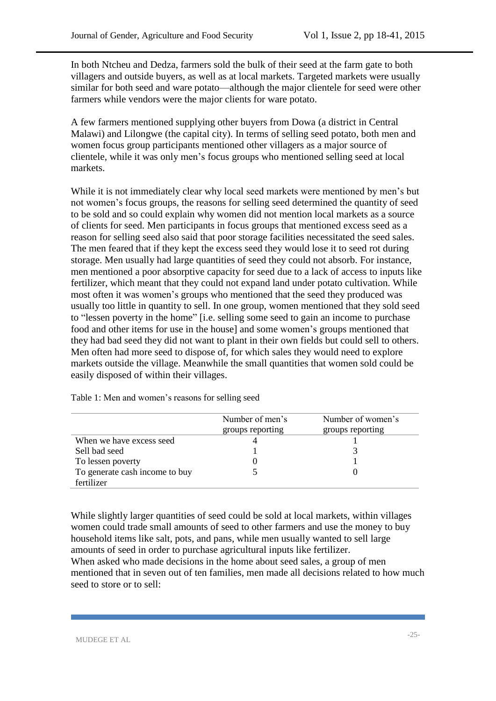In both Ntcheu and Dedza, farmers sold the bulk of their seed at the farm gate to both villagers and outside buyers, as well as at local markets. Targeted markets were usually similar for both seed and ware potato—although the major clientele for seed were other farmers while vendors were the major clients for ware potato.

A few farmers mentioned supplying other buyers from Dowa (a district in Central Malawi) and Lilongwe (the capital city). In terms of selling seed potato, both men and women focus group participants mentioned other villagers as a major source of clientele, while it was only men's focus groups who mentioned selling seed at local markets.

While it is not immediately clear why local seed markets were mentioned by men's but not women's focus groups, the reasons for selling seed determined the quantity of seed to be sold and so could explain why women did not mention local markets as a source of clients for seed. Men participants in focus groups that mentioned excess seed as a reason for selling seed also said that poor storage facilities necessitated the seed sales. The men feared that if they kept the excess seed they would lose it to seed rot during storage. Men usually had large quantities of seed they could not absorb. For instance, men mentioned a poor absorptive capacity for seed due to a lack of access to inputs like fertilizer, which meant that they could not expand land under potato cultivation. While most often it was women's groups who mentioned that the seed they produced was usually too little in quantity to sell. In one group, women mentioned that they sold seed to "lessen poverty in the home" [i.e. selling some seed to gain an income to purchase food and other items for use in the house] and some women's groups mentioned that they had bad seed they did not want to plant in their own fields but could sell to others. Men often had more seed to dispose of, for which sales they would need to explore markets outside the village. Meanwhile the small quantities that women sold could be easily disposed of within their villages.

|                                | Number of men's<br>groups reporting | Number of women's<br>groups reporting |
|--------------------------------|-------------------------------------|---------------------------------------|
| When we have excess seed       |                                     |                                       |
| Sell bad seed                  |                                     |                                       |
| To lessen poverty              |                                     |                                       |
| To generate cash income to buy |                                     |                                       |
| fertilizer                     |                                     |                                       |

Table 1: Men and women's reasons for selling seed

While slightly larger quantities of seed could be sold at local markets, within villages women could trade small amounts of seed to other farmers and use the money to buy household items like salt, pots, and pans, while men usually wanted to sell large amounts of seed in order to purchase agricultural inputs like fertilizer. When asked who made decisions in the home about seed sales, a group of men mentioned that in seven out of ten families, men made all decisions related to how much seed to store or to sell: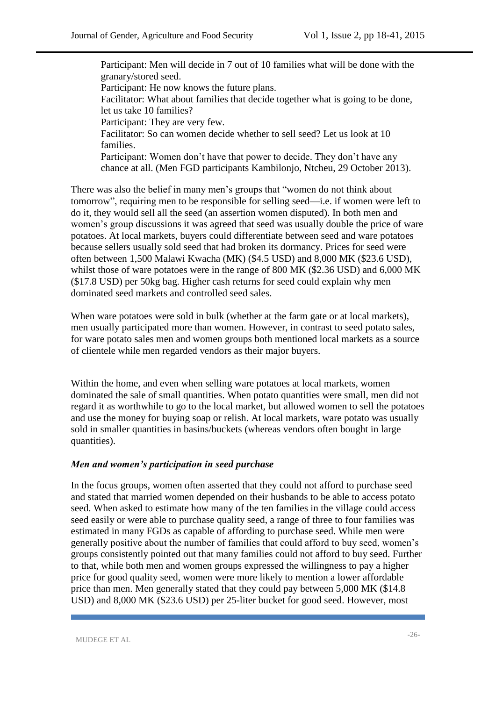Participant: Men will decide in 7 out of 10 families what will be done with the granary/stored seed. Participant: He now knows the future plans. Facilitator: What about families that decide together what is going to be done, let us take 10 families? Participant: They are very few. Facilitator: So can women decide whether to sell seed? Let us look at 10 families. Participant: Women don't have that power to decide. They don't have any chance at all. (Men FGD participants Kambilonjo, Ntcheu, 29 October 2013).

There was also the belief in many men's groups that "women do not think about tomorrow", requiring men to be responsible for selling seed—i.e. if women were left to do it, they would sell all the seed (an assertion women disputed). In both men and women's group discussions it was agreed that seed was usually double the price of ware potatoes. At local markets, buyers could differentiate between seed and ware potatoes because sellers usually sold seed that had broken its dormancy. Prices for seed were often between 1,500 Malawi Kwacha (MK) (\$4.5 USD) and 8,000 MK (\$23.6 USD), whilst those of ware potatoes were in the range of 800 MK (\$2.36 USD) and 6,000 MK (\$17.8 USD) per 50kg bag. Higher cash returns for seed could explain why men dominated seed markets and controlled seed sales.

When ware potatoes were sold in bulk (whether at the farm gate or at local markets), men usually participated more than women. However, in contrast to seed potato sales, for ware potato sales men and women groups both mentioned local markets as a source of clientele while men regarded vendors as their major buyers.

Within the home, and even when selling ware potatoes at local markets, women dominated the sale of small quantities. When potato quantities were small, men did not regard it as worthwhile to go to the local market, but allowed women to sell the potatoes and use the money for buying soap or relish. At local markets, ware potato was usually sold in smaller quantities in basins/buckets (whereas vendors often bought in large quantities).

#### *Men and women's participation in seed purchase*

In the focus groups, women often asserted that they could not afford to purchase seed and stated that married women depended on their husbands to be able to access potato seed. When asked to estimate how many of the ten families in the village could access seed easily or were able to purchase quality seed, a range of three to four families was estimated in many FGDs as capable of affording to purchase seed. While men were generally positive about the number of families that could afford to buy seed, women's groups consistently pointed out that many families could not afford to buy seed. Further to that, while both men and women groups expressed the willingness to pay a higher price for good quality seed, women were more likely to mention a lower affordable price than men. Men generally stated that they could pay between 5,000 MK (\$14.8) USD) and 8,000 MK (\$23.6 USD) per 25-liter bucket for good seed. However, most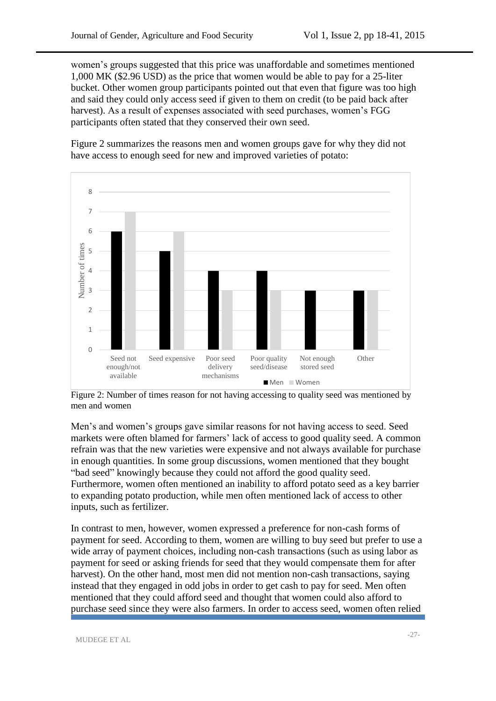women's groups suggested that this price was unaffordable and sometimes mentioned 1,000 MK (\$2.96 USD) as the price that women would be able to pay for a 25-liter bucket. Other women group participants pointed out that even that figure was too high and said they could only access seed if given to them on credit (to be paid back after harvest). As a result of expenses associated with seed purchases, women's FGG participants often stated that they conserved their own seed.

Figure 2 summarizes the reasons men and women groups gave for why they did not have access to enough seed for new and improved varieties of potato:



Figure 2: Number of times reason for not having accessing to quality seed was mentioned by men and women

Men's and women's groups gave similar reasons for not having access to seed. Seed markets were often blamed for farmers' lack of access to good quality seed. A common refrain was that the new varieties were expensive and not always available for purchase in enough quantities. In some group discussions, women mentioned that they bought "bad seed" knowingly because they could not afford the good quality seed. Furthermore, women often mentioned an inability to afford potato seed as a key barrier to expanding potato production, while men often mentioned lack of access to other inputs, such as fertilizer.

In contrast to men, however, women expressed a preference for non-cash forms of payment for seed. According to them, women are willing to buy seed but prefer to use a wide array of payment choices, including non-cash transactions (such as using labor as payment for seed or asking friends for seed that they would compensate them for after harvest). On the other hand, most men did not mention non-cash transactions, saying instead that they engaged in odd jobs in order to get cash to pay for seed. Men often mentioned that they could afford seed and thought that women could also afford to purchase seed since they were also farmers. In order to access seed, women often relied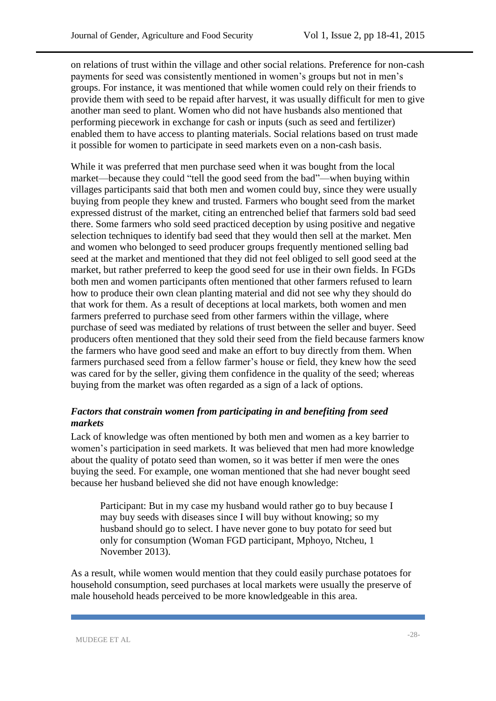on relations of trust within the village and other social relations. Preference for non-cash payments for seed was consistently mentioned in women's groups but not in men's groups. For instance, it was mentioned that while women could rely on their friends to provide them with seed to be repaid after harvest, it was usually difficult for men to give another man seed to plant. Women who did not have husbands also mentioned that performing piecework in exchange for cash or inputs (such as seed and fertilizer) enabled them to have access to planting materials. Social relations based on trust made it possible for women to participate in seed markets even on a non-cash basis.

While it was preferred that men purchase seed when it was bought from the local market—because they could "tell the good seed from the bad"—when buying within villages participants said that both men and women could buy, since they were usually buying from people they knew and trusted. Farmers who bought seed from the market expressed distrust of the market, citing an entrenched belief that farmers sold bad seed there. Some farmers who sold seed practiced deception by using positive and negative selection techniques to identify bad seed that they would then sell at the market. Men and women who belonged to seed producer groups frequently mentioned selling bad seed at the market and mentioned that they did not feel obliged to sell good seed at the market, but rather preferred to keep the good seed for use in their own fields. In FGDs both men and women participants often mentioned that other farmers refused to learn how to produce their own clean planting material and did not see why they should do that work for them. As a result of deceptions at local markets, both women and men farmers preferred to purchase seed from other farmers within the village, where purchase of seed was mediated by relations of trust between the seller and buyer. Seed producers often mentioned that they sold their seed from the field because farmers know the farmers who have good seed and make an effort to buy directly from them. When farmers purchased seed from a fellow farmer's house or field, they knew how the seed was cared for by the seller, giving them confidence in the quality of the seed; whereas buying from the market was often regarded as a sign of a lack of options.

## *Factors that constrain women from participating in and benefiting from seed markets*

Lack of knowledge was often mentioned by both men and women as a key barrier to women's participation in seed markets. It was believed that men had more knowledge about the quality of potato seed than women, so it was better if men were the ones buying the seed. For example, one woman mentioned that she had never bought seed because her husband believed she did not have enough knowledge:

Participant: But in my case my husband would rather go to buy because I may buy seeds with diseases since I will buy without knowing; so my husband should go to select. I have never gone to buy potato for seed but only for consumption (Woman FGD participant, Mphoyo, Ntcheu, 1 November 2013).

As a result, while women would mention that they could easily purchase potatoes for household consumption, seed purchases at local markets were usually the preserve of male household heads perceived to be more knowledgeable in this area.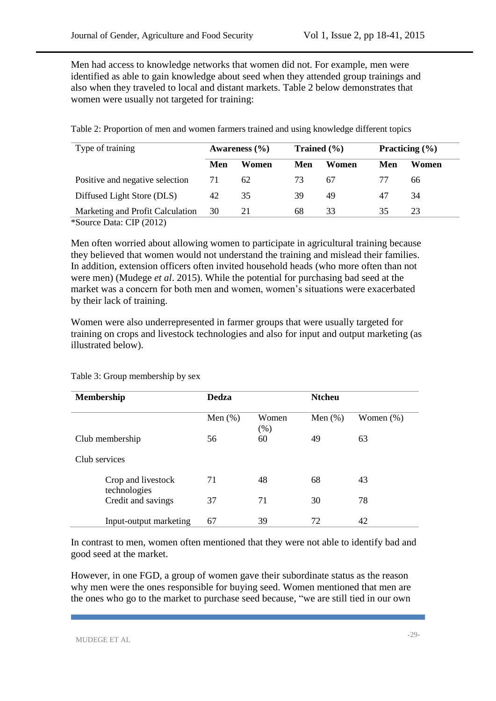Men had access to knowledge networks that women did not. For example, men were identified as able to gain knowledge about seed when they attended group trainings and also when they traveled to local and distant markets. Table 2 below demonstrates that women were usually not targeted for training:

| Type of training                 | Trained $(\% )$<br>Awareness $(\% )$ |       | Practicing $(\% )$ |       |     |       |
|----------------------------------|--------------------------------------|-------|--------------------|-------|-----|-------|
|                                  | Men                                  | Women | Men                | Women | Men | Women |
| Positive and negative selection  | 71                                   | 62    | 73                 | 67    | 77  | 66    |
| Diffused Light Store (DLS)       | 42                                   | 35    | 39                 | 49    | 47  | 34    |
| Marketing and Profit Calculation | 30                                   | 21    | 68                 | 33    | 35  | 23    |

Table 2: Proportion of men and women farmers trained and using knowledge different topics

\*Source Data: CIP (2012)

Men often worried about allowing women to participate in agricultural training because they believed that women would not understand the training and mislead their families. In addition, extension officers often invited household heads (who more often than not were men) (Mudege *et al*. 2015). While the potential for purchasing bad seed at the market was a concern for both men and women, women's situations were exacerbated by their lack of training.

Women were also underrepresented in farmer groups that were usually targeted for training on crops and livestock technologies and also for input and output marketing (as illustrated below).

| <b>Membership</b>                  | <b>Dedza</b> |               | <b>Ntcheu</b> |              |  |
|------------------------------------|--------------|---------------|---------------|--------------|--|
|                                    | Men $(\%)$   | Women<br>(% ) | Men $(\%)$    | Women $(\%)$ |  |
| Club membership                    | 56           | 60            | 49            | 63           |  |
| Club services                      |              |               |               |              |  |
| Crop and livestock<br>technologies | 71           | 48            | 68            | 43           |  |
| Credit and savings                 | 37           | 71            | 30            | 78           |  |
| Input-output marketing             | 67           | 39            | 72            | 42           |  |

Table 3: Group membership by sex

In contrast to men, women often mentioned that they were not able to identify bad and good seed at the market.

However, in one FGD, a group of women gave their subordinate status as the reason why men were the ones responsible for buying seed. Women mentioned that men are the ones who go to the market to purchase seed because, "we are still tied in our own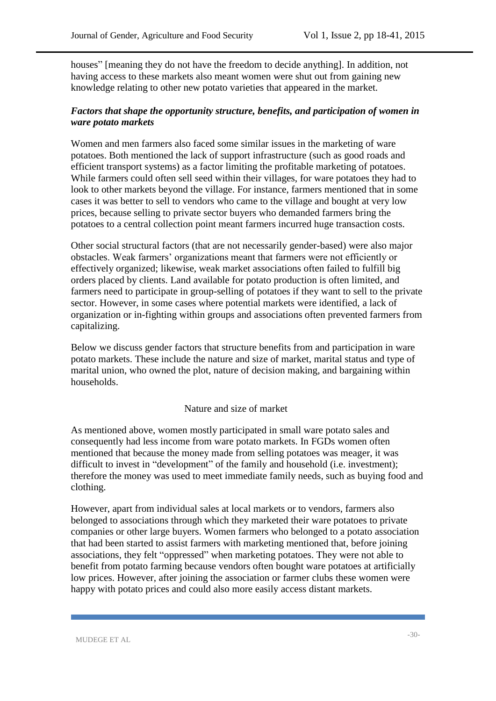houses" [meaning they do not have the freedom to decide anything]. In addition, not having access to these markets also meant women were shut out from gaining new knowledge relating to other new potato varieties that appeared in the market.

### *Factors that shape the opportunity structure, benefits, and participation of women in ware potato markets*

Women and men farmers also faced some similar issues in the marketing of ware potatoes. Both mentioned the lack of support infrastructure (such as good roads and efficient transport systems) as a factor limiting the profitable marketing of potatoes. While farmers could often sell seed within their villages, for ware potatoes they had to look to other markets beyond the village. For instance, farmers mentioned that in some cases it was better to sell to vendors who came to the village and bought at very low prices, because selling to private sector buyers who demanded farmers bring the potatoes to a central collection point meant farmers incurred huge transaction costs.

Other social structural factors (that are not necessarily gender-based) were also major obstacles. Weak farmers' organizations meant that farmers were not efficiently or effectively organized; likewise, weak market associations often failed to fulfill big orders placed by clients. Land available for potato production is often limited, and farmers need to participate in group-selling of potatoes if they want to sell to the private sector. However, in some cases where potential markets were identified, a lack of organization or in-fighting within groups and associations often prevented farmers from capitalizing.

Below we discuss gender factors that structure benefits from and participation in ware potato markets. These include the nature and size of market, marital status and type of marital union, who owned the plot, nature of decision making, and bargaining within households.

#### Nature and size of market

As mentioned above, women mostly participated in small ware potato sales and consequently had less income from ware potato markets. In FGDs women often mentioned that because the money made from selling potatoes was meager, it was difficult to invest in "development" of the family and household (i.e. investment); therefore the money was used to meet immediate family needs, such as buying food and clothing.

However, apart from individual sales at local markets or to vendors, farmers also belonged to associations through which they marketed their ware potatoes to private companies or other large buyers. Women farmers who belonged to a potato association that had been started to assist farmers with marketing mentioned that, before joining associations, they felt "oppressed" when marketing potatoes. They were not able to benefit from potato farming because vendors often bought ware potatoes at artificially low prices. However, after joining the association or farmer clubs these women were happy with potato prices and could also more easily access distant markets.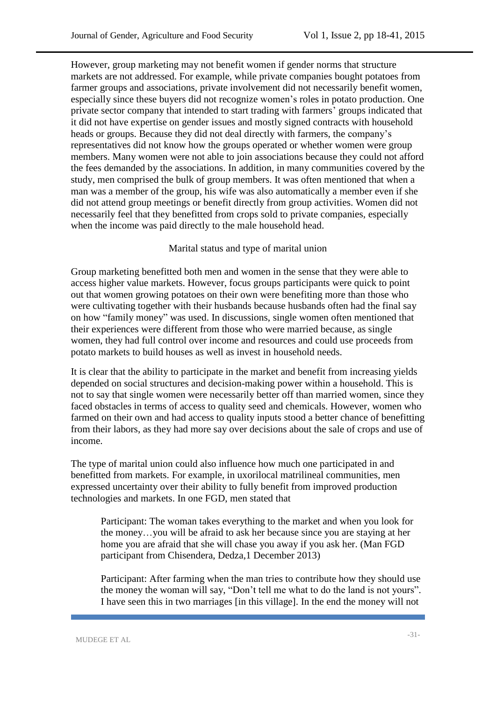However, group marketing may not benefit women if gender norms that structure markets are not addressed. For example, while private companies bought potatoes from farmer groups and associations, private involvement did not necessarily benefit women, especially since these buyers did not recognize women's roles in potato production. One private sector company that intended to start trading with farmers' groups indicated that it did not have expertise on gender issues and mostly signed contracts with household heads or groups. Because they did not deal directly with farmers, the company's representatives did not know how the groups operated or whether women were group members. Many women were not able to join associations because they could not afford the fees demanded by the associations. In addition, in many communities covered by the study, men comprised the bulk of group members. It was often mentioned that when a man was a member of the group, his wife was also automatically a member even if she did not attend group meetings or benefit directly from group activities. Women did not necessarily feel that they benefitted from crops sold to private companies, especially when the income was paid directly to the male household head.

#### Marital status and type of marital union

Group marketing benefitted both men and women in the sense that they were able to access higher value markets. However, focus groups participants were quick to point out that women growing potatoes on their own were benefiting more than those who were cultivating together with their husbands because husbands often had the final say on how "family money" was used. In discussions, single women often mentioned that their experiences were different from those who were married because, as single women, they had full control over income and resources and could use proceeds from potato markets to build houses as well as invest in household needs.

It is clear that the ability to participate in the market and benefit from increasing yields depended on social structures and decision-making power within a household. This is not to say that single women were necessarily better off than married women, since they faced obstacles in terms of access to quality seed and chemicals. However, women who farmed on their own and had access to quality inputs stood a better chance of benefitting from their labors, as they had more say over decisions about the sale of crops and use of income.

The type of marital union could also influence how much one participated in and benefitted from markets. For example, in uxorilocal matrilineal communities, men expressed uncertainty over their ability to fully benefit from improved production technologies and markets. In one FGD, men stated that

Participant: The woman takes everything to the market and when you look for the money…you will be afraid to ask her because since you are staying at her home you are afraid that she will chase you away if you ask her. (Man FGD participant from Chisendera, Dedza,1 December 2013)

Participant: After farming when the man tries to contribute how they should use the money the woman will say, "Don't tell me what to do the land is not yours". I have seen this in two marriages [in this village]. In the end the money will not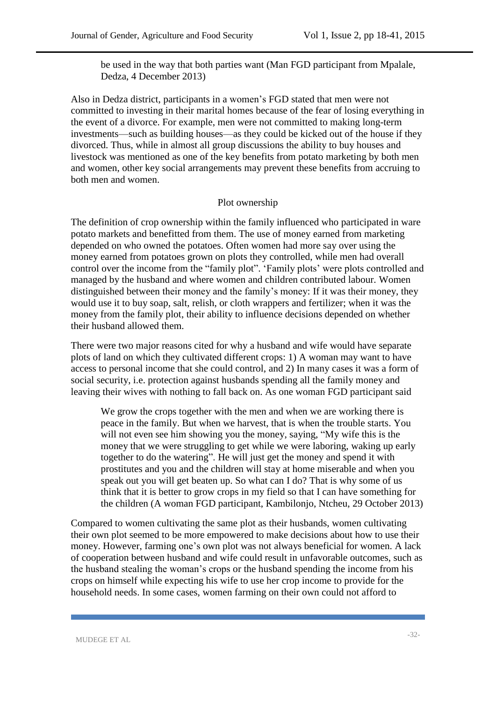be used in the way that both parties want (Man FGD participant from Mpalale, Dedza, 4 December 2013)

Also in Dedza district, participants in a women's FGD stated that men were not committed to investing in their marital homes because of the fear of losing everything in the event of a divorce. For example, men were not committed to making long-term investments—such as building houses—as they could be kicked out of the house if they divorced. Thus, while in almost all group discussions the ability to buy houses and livestock was mentioned as one of the key benefits from potato marketing by both men and women, other key social arrangements may prevent these benefits from accruing to both men and women.

#### Plot ownership

The definition of crop ownership within the family influenced who participated in ware potato markets and benefitted from them. The use of money earned from marketing depended on who owned the potatoes. Often women had more say over using the money earned from potatoes grown on plots they controlled, while men had overall control over the income from the "family plot". 'Family plots' were plots controlled and managed by the husband and where women and children contributed labour. Women distinguished between their money and the family's money: If it was their money, they would use it to buy soap, salt, relish, or cloth wrappers and fertilizer; when it was the money from the family plot, their ability to influence decisions depended on whether their husband allowed them.

There were two major reasons cited for why a husband and wife would have separate plots of land on which they cultivated different crops: 1) A woman may want to have access to personal income that she could control, and 2) In many cases it was a form of social security, i.e. protection against husbands spending all the family money and leaving their wives with nothing to fall back on. As one woman FGD participant said

We grow the crops together with the men and when we are working there is peace in the family. But when we harvest, that is when the trouble starts. You will not even see him showing you the money, saying, "My wife this is the money that we were struggling to get while we were laboring, waking up early together to do the watering". He will just get the money and spend it with prostitutes and you and the children will stay at home miserable and when you speak out you will get beaten up. So what can I do? That is why some of us think that it is better to grow crops in my field so that I can have something for the children (A woman FGD participant, Kambilonjo, Ntcheu, 29 October 2013)

Compared to women cultivating the same plot as their husbands, women cultivating their own plot seemed to be more empowered to make decisions about how to use their money. However, farming one's own plot was not always beneficial for women. A lack of cooperation between husband and wife could result in unfavorable outcomes, such as the husband stealing the woman's crops or the husband spending the income from his crops on himself while expecting his wife to use her crop income to provide for the household needs. In some cases, women farming on their own could not afford to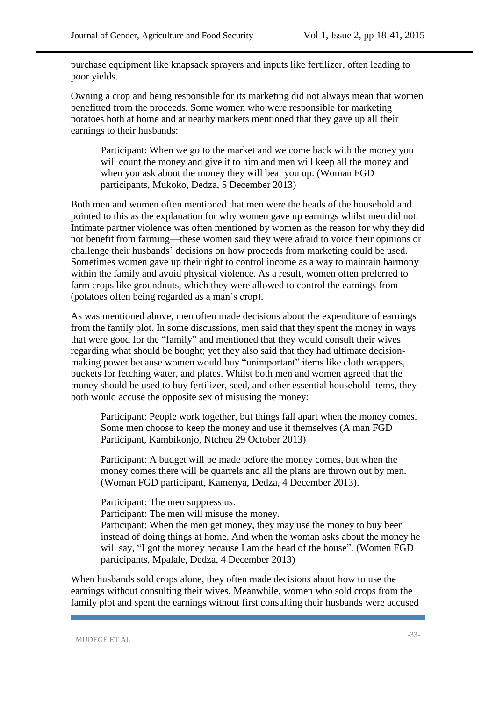purchase equipment like knapsack sprayers and inputs like fertilizer, often leading to poor yields.

Owning a crop and being responsible for its marketing did not always mean that women benefitted from the proceeds. Some women who were responsible for marketing potatoes both at home and at nearby markets mentioned that they gave up all their earnings to their husbands:

Participant: When we go to the market and we come back with the money you will count the money and give it to him and men will keep all the money and when you ask about the money they will beat you up. (Woman FGD participants, Mukoko, Dedza, 5 December 2013)

Both men and women often mentioned that men were the heads of the household and pointed to this as the explanation for why women gave up earnings whilst men did not. Intimate partner violence was often mentioned by women as the reason for why they did not benefit from farming—these women said they were afraid to voice their opinions or challenge their husbands' decisions on how proceeds from marketing could be used. Sometimes women gave up their right to control income as a way to maintain harmony within the family and avoid physical violence. As a result, women often preferred to farm crops like groundnuts, which they were allowed to control the earnings from (potatoes often being regarded as a man's crop).

As was mentioned above, men often made decisions about the expenditure of earnings from the family plot. In some discussions, men said that they spent the money in ways that were good for the "family" and mentioned that they would consult their wives regarding what should be bought; yet they also said that they had ultimate decisionmaking power because women would buy "unimportant" items like cloth wrappers, buckets for fetching water, and plates. Whilst both men and women agreed that the money should be used to buy fertilizer, seed, and other essential household items, they both would accuse the opposite sex of misusing the money:

Participant: People work together, but things fall apart when the money comes. Some men choose to keep the money and use it themselves (A man FGD Participant, Kambikonjo, Ntcheu 29 October 2013)

Participant: A budget will be made before the money comes, but when the money comes there will be quarrels and all the plans are thrown out by men. (Woman FGD participant, Kamenya, Dedza, 4 December 2013).

Participant: The men suppress us.

Participant: The men will misuse the money.

Participant: When the men get money, they may use the money to buy beer instead of doing things at home. And when the woman asks about the money he will say, "I got the money because I am the head of the house". (Women FGD participants, Mpalale, Dedza, 4 December 2013)

When husbands sold crops alone, they often made decisions about how to use the earnings without consulting their wives. Meanwhile, women who sold crops from the family plot and spent the earnings without first consulting their husbands were accused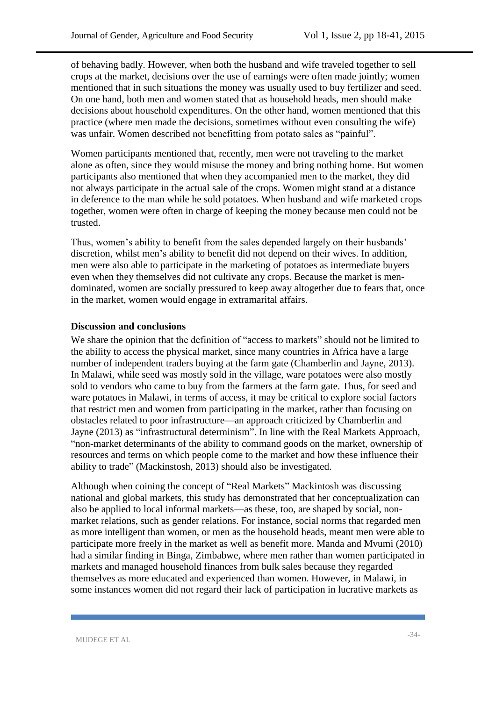of behaving badly. However, when both the husband and wife traveled together to sell crops at the market, decisions over the use of earnings were often made jointly; women mentioned that in such situations the money was usually used to buy fertilizer and seed. On one hand, both men and women stated that as household heads, men should make decisions about household expenditures. On the other hand, women mentioned that this practice (where men made the decisions, sometimes without even consulting the wife) was unfair. Women described not benefitting from potato sales as "painful".

Women participants mentioned that, recently, men were not traveling to the market alone as often, since they would misuse the money and bring nothing home. But women participants also mentioned that when they accompanied men to the market, they did not always participate in the actual sale of the crops. Women might stand at a distance in deference to the man while he sold potatoes. When husband and wife marketed crops together, women were often in charge of keeping the money because men could not be trusted.

Thus, women's ability to benefit from the sales depended largely on their husbands' discretion, whilst men's ability to benefit did not depend on their wives. In addition, men were also able to participate in the marketing of potatoes as intermediate buyers even when they themselves did not cultivate any crops. Because the market is mendominated, women are socially pressured to keep away altogether due to fears that, once in the market, women would engage in extramarital affairs.

#### **Discussion and conclusions**

We share the opinion that the definition of "access to markets" should not be limited to the ability to access the physical market, since many countries in Africa have a large number of independent traders buying at the farm gate (Chamberlin and Jayne, 2013). In Malawi, while seed was mostly sold in the village, ware potatoes were also mostly sold to vendors who came to buy from the farmers at the farm gate. Thus, for seed and ware potatoes in Malawi, in terms of access, it may be critical to explore social factors that restrict men and women from participating in the market, rather than focusing on obstacles related to poor infrastructure—an approach criticized by Chamberlin and Jayne (2013) as "infrastructural determinism". In line with the Real Markets Approach, "non-market determinants of the ability to command goods on the market, ownership of resources and terms on which people come to the market and how these influence their ability to trade" (Mackinstosh, 2013) should also be investigated.

Although when coining the concept of "Real Markets" Mackintosh was discussing national and global markets, this study has demonstrated that her conceptualization can also be applied to local informal markets—as these, too, are shaped by social, nonmarket relations, such as gender relations. For instance, social norms that regarded men as more intelligent than women, or men as the household heads, meant men were able to participate more freely in the market as well as benefit more. Manda and Mvumi (2010) had a similar finding in Binga, Zimbabwe, where men rather than women participated in markets and managed household finances from bulk sales because they regarded themselves as more educated and experienced than women. However, in Malawi, in some instances women did not regard their lack of participation in lucrative markets as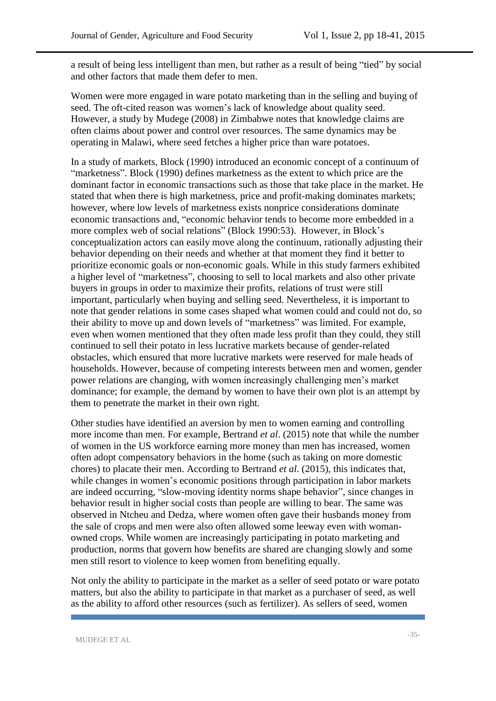a result of being less intelligent than men, but rather as a result of being "tied" by social and other factors that made them defer to men.

Women were more engaged in ware potato marketing than in the selling and buying of seed. The oft-cited reason was women's lack of knowledge about quality seed. However, a study by Mudege (2008) in Zimbabwe notes that knowledge claims are often claims about power and control over resources. The same dynamics may be operating in Malawi, where seed fetches a higher price than ware potatoes.

In a study of markets, Block (1990) introduced an economic concept of a continuum of "marketness". Block (1990) defines marketness as the extent to which price are the dominant factor in economic transactions such as those that take place in the market. He stated that when there is high marketness, price and profit-making dominates markets; however, where low levels of marketness exists nonprice considerations dominate economic transactions and, "economic behavior tends to become more embedded in a more complex web of social relations" (Block 1990:53). However, in Block's conceptualization actors can easily move along the continuum, rationally adjusting their behavior depending on their needs and whether at that moment they find it better to prioritize economic goals or non-economic goals. While in this study farmers exhibited a higher level of "marketness", choosing to sell to local markets and also other private buyers in groups in order to maximize their profits, relations of trust were still important, particularly when buying and selling seed. Nevertheless, it is important to note that gender relations in some cases shaped what women could and could not do, so their ability to move up and down levels of "marketness" was limited. For example, even when women mentioned that they often made less profit than they could, they still continued to sell their potato in less lucrative markets because of gender-related obstacles, which ensured that more lucrative markets were reserved for male heads of households. However, because of competing interests between men and women, gender power relations are changing, with women increasingly challenging men's market dominance; for example, the demand by women to have their own plot is an attempt by them to penetrate the market in their own right.

Other studies have identified an aversion by men to women earning and controlling more income than men. For example, Bertrand *et al*. (2015) note that while the number of women in the US workforce earning more money than men has increased, women often adopt compensatory behaviors in the home (such as taking on more domestic chores) to placate their men. According to Bertrand *et al*. (2015), this indicates that, while changes in women's economic positions through participation in labor markets are indeed occurring, "slow-moving identity norms shape behavior", since changes in behavior result in higher social costs than people are willing to bear. The same was observed in Ntcheu and Dedza, where women often gave their husbands money from the sale of crops and men were also often allowed some leeway even with womanowned crops. While women are increasingly participating in potato marketing and production, norms that govern how benefits are shared are changing slowly and some men still resort to violence to keep women from benefiting equally.

Not only the ability to participate in the market as a seller of seed potato or ware potato matters, but also the ability to participate in that market as a purchaser of seed, as well as the ability to afford other resources (such as fertilizer). As sellers of seed, women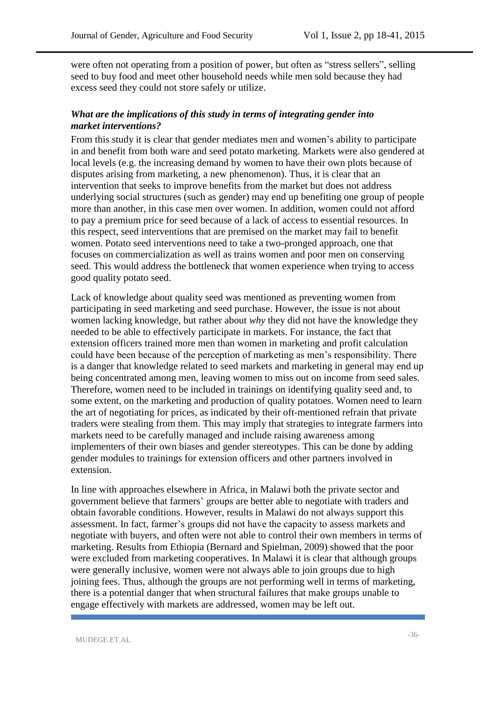were often not operating from a position of power, but often as "stress sellers", selling seed to buy food and meet other household needs while men sold because they had excess seed they could not store safely or utilize.

#### *What are the implications of this study in terms of integrating gender into market interventions?*

From this study it is clear that gender mediates men and women's ability to participate in and benefit from both ware and seed potato marketing. Markets were also gendered at local levels (e.g. the increasing demand by women to have their own plots because of disputes arising from marketing, a new phenomenon). Thus, it is clear that an intervention that seeks to improve benefits from the market but does not address underlying social structures (such as gender) may end up benefiting one group of people more than another, in this case men over women. In addition, women could not afford to pay a premium price for seed because of a lack of access to essential resources. In this respect, seed interventions that are premised on the market may fail to benefit women. Potato seed interventions need to take a two-pronged approach, one that focuses on commercialization as well as trains women and poor men on conserving seed. This would address the bottleneck that women experience when trying to access good quality potato seed.

Lack of knowledge about quality seed was mentioned as preventing women from participating in seed marketing and seed purchase. However, the issue is not about women lacking knowledge, but rather about *why* they did not have the knowledge they needed to be able to effectively participate in markets. For instance, the fact that extension officers trained more men than women in marketing and profit calculation could have been because of the perception of marketing as men's responsibility. There is a danger that knowledge related to seed markets and marketing in general may end up being concentrated among men, leaving women to miss out on income from seed sales. Therefore, women need to be included in trainings on identifying quality seed and, to some extent, on the marketing and production of quality potatoes. Women need to learn the art of negotiating for prices, as indicated by their oft-mentioned refrain that private traders were stealing from them. This may imply that strategies to integrate farmers into markets need to be carefully managed and include raising awareness among implementers of their own biases and gender stereotypes. This can be done by adding gender modules to trainings for extension officers and other partners involved in extension.

In line with approaches elsewhere in Africa, in Malawi both the private sector and government believe that farmers' groups are better able to negotiate with traders and obtain favorable conditions. However, results in Malawi do not always support this assessment. In fact, farmer's groups did not have the capacity to assess markets and negotiate with buyers, and often were not able to control their own members in terms of marketing. Results from Ethiopia (Bernard and Spielman, 2009) showed that the poor were excluded from marketing cooperatives. In Malawi it is clear that although groups were generally inclusive, women were not always able to join groups due to high joining fees. Thus, although the groups are not performing well in terms of marketing, there is a potential danger that when structural failures that make groups unable to engage effectively with markets are addressed, women may be left out.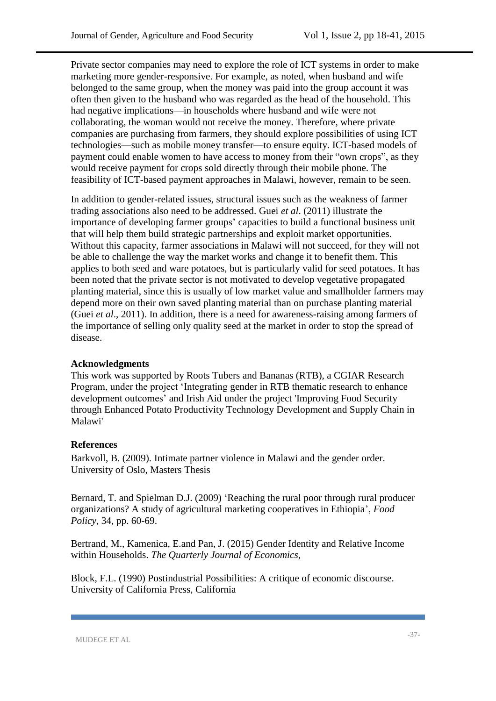Private sector companies may need to explore the role of ICT systems in order to make marketing more gender-responsive. For example, as noted, when husband and wife belonged to the same group, when the money was paid into the group account it was often then given to the husband who was regarded as the head of the household. This had negative implications—in households where husband and wife were not collaborating, the woman would not receive the money. Therefore, where private companies are purchasing from farmers, they should explore possibilities of using ICT technologies—such as mobile money transfer—to ensure equity. ICT-based models of payment could enable women to have access to money from their "own crops", as they would receive payment for crops sold directly through their mobile phone. The feasibility of ICT-based payment approaches in Malawi, however, remain to be seen.

In addition to gender-related issues, structural issues such as the weakness of farmer trading associations also need to be addressed. Guei *et al*. (2011) illustrate the importance of developing farmer groups' capacities to build a functional business unit that will help them build strategic partnerships and exploit market opportunities. Without this capacity, farmer associations in Malawi will not succeed, for they will not be able to challenge the way the market works and change it to benefit them. This applies to both seed and ware potatoes, but is particularly valid for seed potatoes. It has been noted that the private sector is not motivated to develop vegetative propagated planting material, since this is usually of low market value and smallholder farmers may depend more on their own saved planting material than on purchase planting material (Guei *et al*., 2011). In addition, there is a need for awareness-raising among farmers of the importance of selling only quality seed at the market in order to stop the spread of disease.

#### **Acknowledgments**

This work was supported by Roots Tubers and Bananas (RTB), a CGIAR Research Program, under the project 'Integrating gender in RTB thematic research to enhance development outcomes' and Irish Aid under the project 'Improving Food Security through Enhanced Potato Productivity Technology Development and Supply Chain in Malawi'

#### **References**

Barkvoll, B. (2009). Intimate partner violence in Malawi and the gender order. University of Oslo, Masters Thesis

Bernard, T. and Spielman D.J. (2009) 'Reaching the rural poor through rural producer organizations? A study of agricultural marketing cooperatives in Ethiopia', *Food Policy*, 34, pp. 60-69.

Bertrand, M., Kamenica, E.and Pan, J. (2015) Gender Identity and Relative Income within Households. *The Quarterly Journal of Economics,* 

Block, F.L. (1990) Postindustrial Possibilities: A critique of economic discourse. University of California Press, California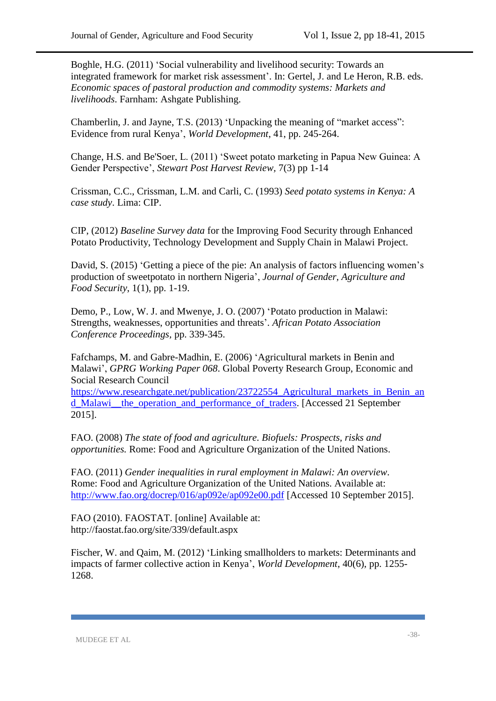Boghle, H.G. (2011) 'Social vulnerability and livelihood security: Towards an integrated framework for market risk assessment'. In: Gertel, J. and Le Heron, R.B. eds. *Economic spaces of pastoral production and commodity systems: Markets and livelihoods*. Farnham: Ashgate Publishing.

Chamberlin, J. and Jayne, T.S. (2013) 'Unpacking the meaning of "market access": Evidence from rural Kenya', *World Development*, 41, pp. 245-264.

Change, H.S. and Be'Soer, L. (2011) 'Sweet potato marketing in Papua New Guinea: A Gender Perspective', *Stewart Post Harvest Review,* 7(3) pp 1-14

Crissman, C.C., Crissman, L.M. and Carli, C. (1993) *Seed potato systems in Kenya: A case study*. Lima: CIP.

CIP, (2012) *Baseline Survey data* for the Improving Food Security through Enhanced Potato Productivity, Technology Development and Supply Chain in Malawi Project.

David, S. (2015) 'Getting a piece of the pie: An analysis of factors influencing women's production of sweetpotato in northern Nigeria', *Journal of Gender, Agriculture and Food Security*, 1(1), pp. 1-19.

Demo, P., Low, W. J. and Mwenye, J. O. (2007) 'Potato production in Malawi: Strengths, weaknesses, opportunities and threats'. *African Potato Association Conference Proceedings,* pp. 339-345.

Fafchamps, M. and Gabre-Madhin, E. (2006) 'Agricultural markets in Benin and Malawi', *GPRG Working Paper 068*. Global Poverty Research Group, Economic and Social Research Council

[https://www.researchgate.net/publication/23722554\\_Agricultural\\_markets\\_in\\_Benin\\_an](https://www.researchgate.net/publication/23722554_Agricultural_markets_in_Benin_and_Malawi__the_operation_and_performance_of_traders) [d\\_Malawi\\_\\_the\\_operation\\_and\\_performance\\_of\\_traders.](https://www.researchgate.net/publication/23722554_Agricultural_markets_in_Benin_and_Malawi__the_operation_and_performance_of_traders) [Accessed 21 September 2015].

FAO. (2008) *The state of food and agriculture. Biofuels: Prospects, risks and opportunities.* Rome: Food and Agriculture Organization of the United Nations.

FAO. (2011) *Gender inequalities in rural employment in Malawi: An overview*. Rome: Food and Agriculture Organization of the United Nations. Available at: <http://www.fao.org/docrep/016/ap092e/ap092e00.pdf> [Accessed 10 September 2015].

FAO (2010). FAOSTAT. [online] Available at: http://faostat.fao.org/site/339/default.aspx

Fischer, W. and Qaim, M. (2012) 'Linking smallholders to markets: Determinants and impacts of farmer collective action in Kenya', *World Development*, 40(6), pp. 1255- 1268.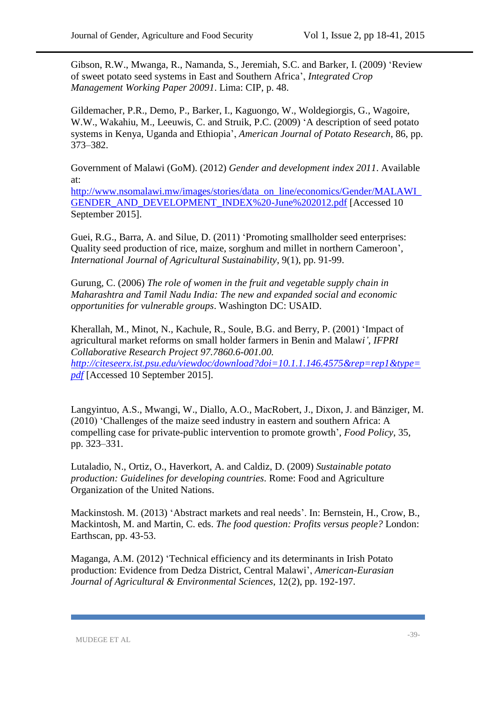Gibson, R.W., Mwanga, R., Namanda, S., Jeremiah, S.C. and Barker, I. (2009) 'Review of sweet potato seed systems in East and Southern Africa', *Integrated Crop Management Working Paper 20091*. Lima: CIP, p. 48.

Gildemacher, P.R., Demo, P., Barker, I., Kaguongo, W., Woldegiorgis, G., Wagoire, W.W., Wakahiu, M., Leeuwis, C. and Struik, P.C. (2009) 'A description of seed potato systems in Kenya, Uganda and Ethiopia', *American Journal of Potato Research*, 86, pp. 373–382.

Government of Malawi (GoM). (2012) *Gender and development index 2011*. Available at:

[http://www.nsomalawi.mw/images/stories/data\\_on\\_line/economics/Gender/MALAWI\\_](http://www.nsomalawi.mw/images/stories/data_on_line/economics/Gender/MALAWI_GENDER_AND_DEVELOPMENT_INDEX%20-June%202012.pdf) [GENDER\\_AND\\_DEVELOPMENT\\_INDEX%20-June%202012.pdf](http://www.nsomalawi.mw/images/stories/data_on_line/economics/Gender/MALAWI_GENDER_AND_DEVELOPMENT_INDEX%20-June%202012.pdf) [Accessed 10 September 2015].

Guei, R.G., Barra, A. and Silue, D. (2011) 'Promoting smallholder seed enterprises: Quality seed production of rice, maize, sorghum and millet in northern Cameroon', *International Journal of Agricultural Sustainability*, 9(1), pp. 91-99.

Gurung, C. (2006) *The role of women in the fruit and vegetable supply chain in Maharashtra and Tamil Nadu India: The new and expanded social and economic opportunities for vulnerable groups*. Washington DC: USAID.

Kherallah, M., Minot, N., Kachule, R., Soule, B.G. and Berry, P. (2001) 'Impact of agricultural market reforms on small holder farmers in Benin and Malaw*i'*, *IFPRI Collaborative Research Project 97.7860.6-001.00. [http://citeseerx.ist.psu.edu/viewdoc/download?doi=10.1.1.146.4575&rep=rep1&type=](http://citeseerx.ist.psu.edu/viewdoc/download?doi=10.1.1.146.4575&rep=rep1&type=pdf) [pdf](http://citeseerx.ist.psu.edu/viewdoc/download?doi=10.1.1.146.4575&rep=rep1&type=pdf)* [Accessed 10 September 2015].

Langyintuo, A.S., Mwangi, W., Diallo, A.O., MacRobert, J., Dixon, J. and Bänziger, M. (2010) 'Challenges of the maize seed industry in eastern and southern Africa: A compelling case for private-public intervention to promote growth', *Food Policy*, 35, pp. 323–331.

Lutaladio, N., Ortiz, O., Haverkort, A. and Caldiz, D. (2009) *Sustainable potato production: Guidelines for developing countries*. Rome: Food and Agriculture Organization of the United Nations.

Mackinstosh. M. (2013) 'Abstract markets and real needs'. In: Bernstein, H., Crow, B., Mackintosh, M. and Martin, C. eds. *The food question: Profits versus people?* London: Earthscan, pp. 43-53.

Maganga, A.M. (2012) 'Technical efficiency and its determinants in Irish Potato production: Evidence from Dedza District, Central Malawi', *American-Eurasian Journal of Agricultural & Environmental Sciences*, 12(2), pp. 192-197.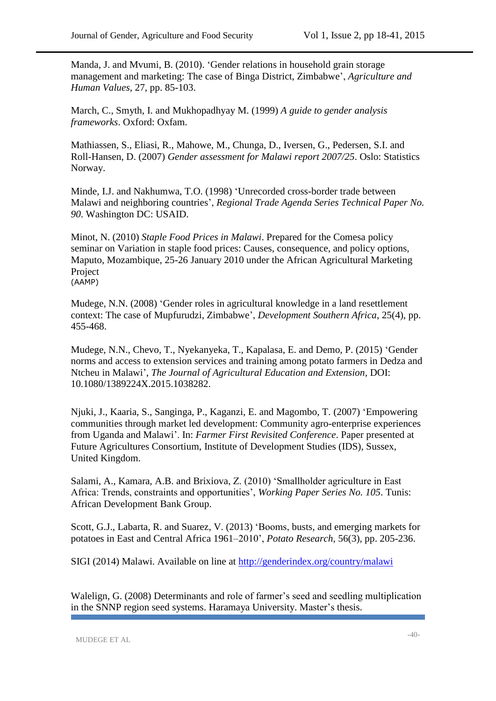Manda, J. and Mvumi, B. (2010). 'Gender relations in household grain storage management and marketing: The case of Binga District, Zimbabwe', *Agriculture and Human Values*, 27, pp. 85-103.

March, C., Smyth, I. and Mukhopadhyay M. (1999) *A guide to gender analysis frameworks*. Oxford: Oxfam.

Mathiassen, S., Eliasi, R., Mahowe, M., Chunga, D., Iversen, G., Pedersen, S.I. and Roll-Hansen, D. (2007) *Gender assessment for Malawi report 2007/25*. Oslo: Statistics Norway.

Minde, I.J. and Nakhumwa, T.O. (1998) 'Unrecorded cross-border trade between Malawi and neighboring countries', *Regional Trade Agenda Series Technical Paper No. 90*. Washington DC: USAID.

Minot, N. (2010) *Staple Food Prices in Malawi*. Prepared for the Comesa policy seminar on Variation in staple food prices: Causes, consequence, and policy options, Maputo, Mozambique, 25-26 January 2010 under the African Agricultural Marketing Project (AAMP)

Mudege, N.N. (2008) ['Gender roles in agricultural knowledge in a land resettlement](https://www.researchgate.net/publication/227611196_Gender_roles_in_agricultural_knowledge_in_a_land_resettlement_context_the_case_of_Mupfurudzi_Zimbabwe?ev=prf_pub)  [context: The case of Mupfurudzi, Zimbabwe'](https://www.researchgate.net/publication/227611196_Gender_roles_in_agricultural_knowledge_in_a_land_resettlement_context_the_case_of_Mupfurudzi_Zimbabwe?ev=prf_pub), *Development Southern Africa*, 25(4), pp. 455-468.

Mudege, N.N., Chevo, T., Nyekanyeka, T., Kapalasa, E. and Demo, P. (2015) 'Gender norms and access to extension services and training among potato farmers in Dedza and Ntcheu in Malawi', *The Journal of Agricultural Education and Extension,* DOI: 10.1080/1389224X.2015.1038282.

Njuki, J., Kaaria, S., Sanginga, P., Kaganzi, E. and Magombo, T. (2007) 'Empowering communities through market led development: Community agro-enterprise experiences from Uganda and Malawi'. In: *Farmer First Revisited Conference*. Paper presented at Future Agricultures Consortium, Institute of Development Studies (IDS), Sussex, United Kingdom.

Salami, A., Kamara, A.B. and Brixiova, Z. (2010) 'Smallholder agriculture in East Africa: Trends, constraints and opportunities', *Working Paper Series No. 105*. Tunis: African Development Bank Group.

Scott, G.J., Labarta, R. and Suarez, V. (2013) 'Booms, busts, and emerging markets for potatoes in East and Central Africa 1961–2010', *Potato Research*, 56(3), pp. 205-236.

SIGI (2014) Malawi. Available on line at<http://genderindex.org/country/malawi>

Walelign, G. (2008) Determinants and role of farmer's seed and seedling multiplication in the SNNP region seed systems. Haramaya University. Master's thesis.